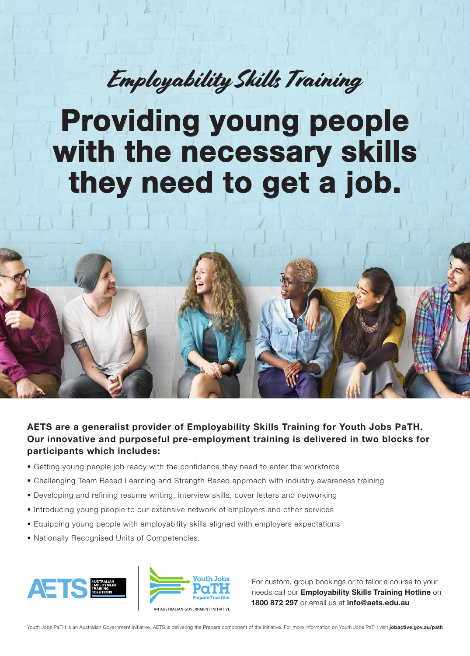## Employability Skills Training

# Providing young people with the necessary skills they need to get a job.



AETS are a generalist provider of Employability Skills Training for Youth Jobs PaTH. Our innovative and purposeful pre-employment training is delivered in two blocks for participants which includes:

- Getting young people job ready with the confidence they need to enter the workforce
- Challenging Team Based Learning and Strength Based approach with industry awareness training
- Developing and refining resume writing, interview skills, cover letters and networking
- Introducing young people to our extensive network of employers and other services
- Equipping young people with employability skills aligned with employers expectations
- Nationally Recognised Units of Competencies.





For custom, group bookings or to tailor a course to your needs call our Employability Skills Training Hotline on 1800 872 297 or email us at info@aets.edu.au